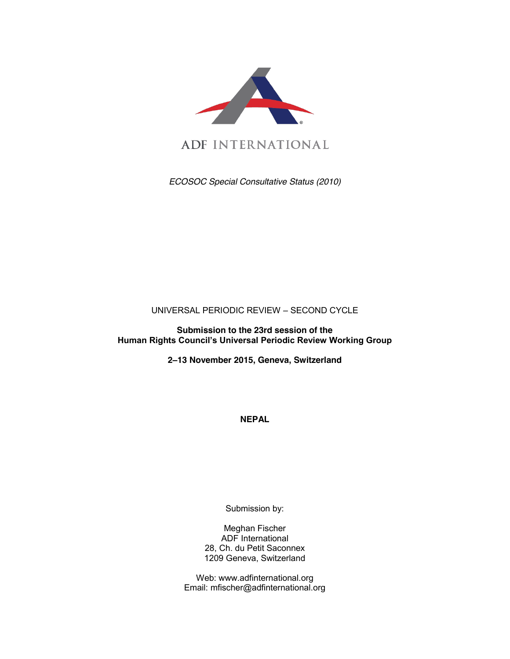

*ECOSOC Special Consultative Status (2010)*

UNIVERSAL PERIODIC REVIEW – SECOND CYCLE

**Submission to the 23rd session of the Human Rights Council's Universal Periodic Review Working Group** 

**2–13 November 2015, Geneva, Switzerland**

**NEPAL**

Submission by:

Meghan Fischer ADF International 28, Ch. du Petit Saconnex 1209 Geneva, Switzerland

Web: www.adfinternational.org Email: mfischer@adfinternational.org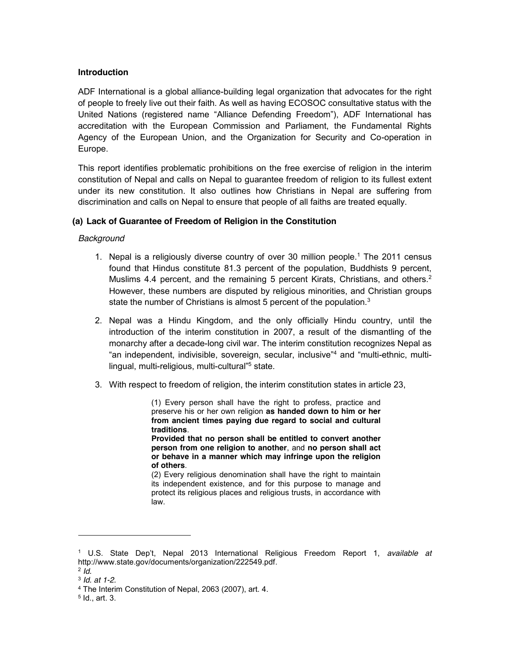## **Introduction**

ADF International is a global alliance-building legal organization that advocates for the right of people to freely live out their faith. As well as having ECOSOC consultative status with the United Nations (registered name "Alliance Defending Freedom"), ADF International has accreditation with the European Commission and Parliament, the Fundamental Rights Agency of the European Union, and the Organization for Security and Co-operation in Europe.

This report identifies problematic prohibitions on the free exercise of religion in the interim constitution of Nepal and calls on Nepal to guarantee freedom of religion to its fullest extent under its new constitution. It also outlines how Christians in Nepal are suffering from discrimination and calls on Nepal to ensure that people of all faiths are treated equally.

# **(a) Lack of Guarantee of Freedom of Religion in the Constitution**

## *Background*

- 1. Nepal is a religiously diverse country of over 30 million people.1 The 2011 census found that Hindus constitute 81.3 percent of the population, Buddhists 9 percent, Muslims 4.4 percent, and the remaining 5 percent Kirats, Christians, and others.<sup>2</sup> However, these numbers are disputed by religious minorities, and Christian groups state the number of Christians is almost 5 percent of the population.<sup>3</sup>
- 2. Nepal was a Hindu Kingdom, and the only officially Hindu country, until the introduction of the interim constitution in 2007, a result of the dismantling of the monarchy after a decade-long civil war. The interim constitution recognizes Nepal as "an independent, indivisible, sovereign, secular, inclusive"<sup>4</sup> and "multi-ethnic, multilingual, multi-religious, multi-cultural"<sup>5</sup> state.
- 3. With respect to freedom of religion, the interim constitution states in article 23,

(1) Every person shall have the right to profess, practice and preserve his or her own religion **as handed down to him or her from ancient times paying due regard to social and cultural traditions**.

**Provided that no person shall be entitled to convert another person from one religion to another**, and **no person shall act or behave in a manner which may infringe upon the religion of others**.

(2) Every religious denomination shall have the right to maintain its independent existence, and for this purpose to manage and protect its religious places and religious trusts, in accordance with law.

l

<sup>1</sup> U.S. State Dep't, Nepal 2013 International Religious Freedom Report 1, *available at*  http://www.state.gov/documents/organization/222549.pdf.

<sup>2</sup> *Id.*

<sup>3</sup> *Id. at 1-2.*

<sup>4</sup> The Interim Constitution of Nepal, 2063 (2007), art. 4.

 $5$  Id., art. 3.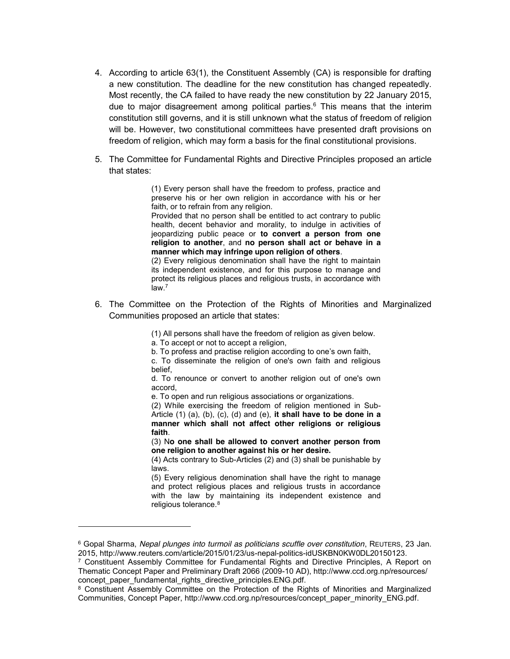- 4. According to article 63(1), the Constituent Assembly (CA) is responsible for drafting a new constitution. The deadline for the new constitution has changed repeatedly. Most recently, the CA failed to have ready the new constitution by 22 January 2015, due to major disagreement among political parties. <sup>6</sup> This means that the interim constitution still governs, and it is still unknown what the status of freedom of religion will be. However, two constitutional committees have presented draft provisions on freedom of religion, which may form a basis for the final constitutional provisions.
- 5. The Committee for Fundamental Rights and Directive Principles proposed an article that states:

(1) Every person shall have the freedom to profess, practice and preserve his or her own religion in accordance with his or her faith, or to refrain from any religion.

Provided that no person shall be entitled to act contrary to public health, decent behavior and morality, to indulge in activities of jeopardizing public peace or **to convert a person from one religion to another**, and **no person shall act or behave in a manner which may infringe upon religion of others**.

(2) Every religious denomination shall have the right to maintain its independent existence, and for this purpose to manage and protect its religious places and religious trusts, in accordance with  $law<sup>7</sup>$ 

6. The Committee on the Protection of the Rights of Minorities and Marginalized Communities proposed an article that states:

(1) All persons shall have the freedom of religion as given below.

a. To accept or not to accept a religion,

 $\overline{a}$ 

b. To profess and practise religion according to one's own faith,

c. To disseminate the religion of one's own faith and religious belief,

d. To renounce or convert to another religion out of one's own accord,

e. To open and run religious associations or organizations.

(2) While exercising the freedom of religion mentioned in Sub-Article (1) (a), (b), (c), (d) and (e), **it shall have to be done in a manner which shall not affect other religions or religious faith**.

(3) N**o one shall be allowed to convert another person from one religion to another against his or her desire.**

(4) Acts contrary to Sub-Articles (2) and (3) shall be punishable by laws.

(5) Every religious denomination shall have the right to manage and protect religious places and religious trusts in accordance with the law by maintaining its independent existence and religious tolerance.<sup>8</sup>

<sup>6</sup> Gopal Sharma, *Nepal plunges into turmoil as politicians scuffle over constitution*, REUTERS, 23 Jan. 2015, http://www.reuters.com/article/2015/01/23/us-nepal-politics-idUSKBN0KW0DL20150123.

 $7$  Constituent Assembly Committee for Fundamental Rights and Directive Principles, A Report on Thematic Concept Paper and Preliminary Draft 2066 (2009-10 AD), http://www.ccd.org.np/resources/ concept\_paper\_fundamental\_rights\_directive\_principles.ENG.pdf.

<sup>&</sup>lt;sup>8</sup> Constituent Assembly Committee on the Protection of the Rights of Minorities and Marginalized Communities, Concept Paper, http://www.ccd.org.np/resources/concept\_paper\_minority\_ENG.pdf.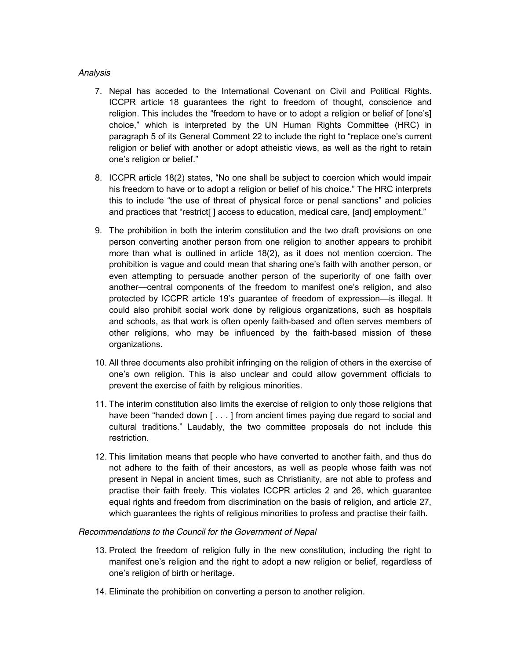## *Analysis*

- 7. Nepal has acceded to the International Covenant on Civil and Political Rights. ICCPR article 18 guarantees the right to freedom of thought, conscience and religion. This includes the "freedom to have or to adopt a religion or belief of [one's] choice," which is interpreted by the UN Human Rights Committee (HRC) in paragraph 5 of its General Comment 22 to include the right to "replace one's current religion or belief with another or adopt atheistic views, as well as the right to retain one's religion or belief."
- 8. ICCPR article 18(2) states, "No one shall be subject to coercion which would impair his freedom to have or to adopt a religion or belief of his choice." The HRC interprets this to include "the use of threat of physical force or penal sanctions" and policies and practices that "restrict[] access to education, medical care, [and] employment."
- 9. The prohibition in both the interim constitution and the two draft provisions on one person converting another person from one religion to another appears to prohibit more than what is outlined in article 18(2), as it does not mention coercion. The prohibition is vague and could mean that sharing one's faith with another person, or even attempting to persuade another person of the superiority of one faith over another—central components of the freedom to manifest one's religion, and also protected by ICCPR article 19's guarantee of freedom of expression—is illegal. It could also prohibit social work done by religious organizations, such as hospitals and schools, as that work is often openly faith-based and often serves members of other religions, who may be influenced by the faith-based mission of these organizations.
- 10. All three documents also prohibit infringing on the religion of others in the exercise of one's own religion. This is also unclear and could allow government officials to prevent the exercise of faith by religious minorities.
- 11. The interim constitution also limits the exercise of religion to only those religions that have been "handed down [ . . . ] from ancient times paying due regard to social and cultural traditions." Laudably, the two committee proposals do not include this restriction.
- 12. This limitation means that people who have converted to another faith, and thus do not adhere to the faith of their ancestors, as well as people whose faith was not present in Nepal in ancient times, such as Christianity, are not able to profess and practise their faith freely. This violates ICCPR articles 2 and 26, which guarantee equal rights and freedom from discrimination on the basis of religion, and article 27, which guarantees the rights of religious minorities to profess and practise their faith.

#### *Recommendations to the Council for the Government of Nepal*

- 13. Protect the freedom of religion fully in the new constitution, including the right to manifest one's religion and the right to adopt a new religion or belief, regardless of one's religion of birth or heritage.
- 14. Eliminate the prohibition on converting a person to another religion.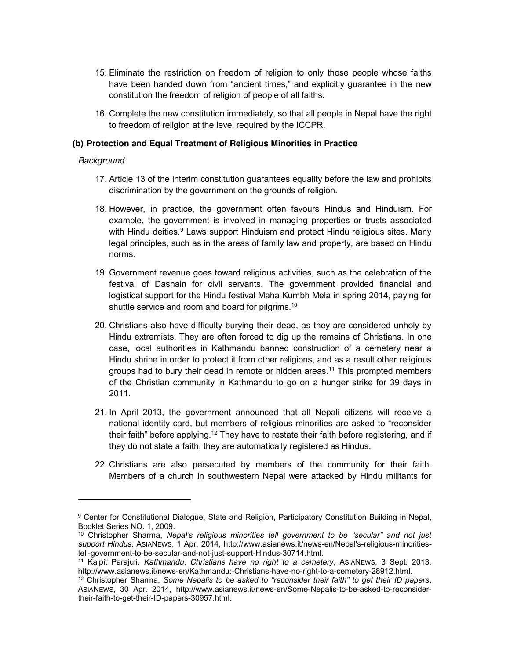- 15. Eliminate the restriction on freedom of religion to only those people whose faiths have been handed down from "ancient times," and explicitly guarantee in the new constitution the freedom of religion of people of all faiths.
- 16. Complete the new constitution immediately, so that all people in Nepal have the right to freedom of religion at the level required by the ICCPR.

## **(b) Protection and Equal Treatment of Religious Minorities in Practice**

#### *Background*

 $\overline{a}$ 

- 17. Article 13 of the interim constitution guarantees equality before the law and prohibits discrimination by the government on the grounds of religion.
- 18. However, in practice, the government often favours Hindus and Hinduism. For example, the government is involved in managing properties or trusts associated with Hindu deities.<sup>9</sup> Laws support Hinduism and protect Hindu religious sites. Many legal principles, such as in the areas of family law and property, are based on Hindu norms.
- 19. Government revenue goes toward religious activities, such as the celebration of the festival of Dashain for civil servants. The government provided financial and logistical support for the Hindu festival Maha Kumbh Mela in spring 2014, paying for shuttle service and room and board for pilgrims.<sup>10</sup>
- 20. Christians also have difficulty burying their dead, as they are considered unholy by Hindu extremists. They are often forced to dig up the remains of Christians. In one case, local authorities in Kathmandu banned construction of a cemetery near a Hindu shrine in order to protect it from other religions, and as a result other religious groups had to bury their dead in remote or hidden areas.<sup>11</sup> This prompted members of the Christian community in Kathmandu to go on a hunger strike for 39 days in 2011.
- 21. In April 2013, the government announced that all Nepali citizens will receive a national identity card, but members of religious minorities are asked to "reconsider their faith" before applying.<sup>12</sup> They have to restate their faith before registering, and if they do not state a faith, they are automatically registered as Hindus.
- 22. Christians are also persecuted by members of the community for their faith. Members of a church in southwestern Nepal were attacked by Hindu militants for

<sup>9</sup> Center for Constitutional Dialogue, State and Religion, Participatory Constitution Building in Nepal, Booklet Series NO. 1, 2009.

<sup>10</sup> Christopher Sharma, *Nepal's religious minorities tell government to be "secular" and not just support Hindus*, ASIANEWS, 1 Apr. 2014, http://www.asianews.it/news-en/Nepal's-religious-minoritiestell-government-to-be-secular-and-not-just-support-Hindus-30714.html.

<sup>11</sup> Kalpit Parajuli, *Kathmandu: Christians have no right to a cemetery*, ASIANEWS, 3 Sept. 2013, http://www.asianews.it/news-en/Kathmandu:-Christians-have-no-right-to-a-cemetery-28912.html.

<sup>12</sup> Christopher Sharma, *Some Nepalis to be asked to "reconsider their faith" to get their ID papers*, ASIANEWS, 30 Apr. 2014, http://www.asianews.it/news-en/Some-Nepalis-to-be-asked-to-reconsidertheir-faith-to-get-their-ID-papers-30957.html.